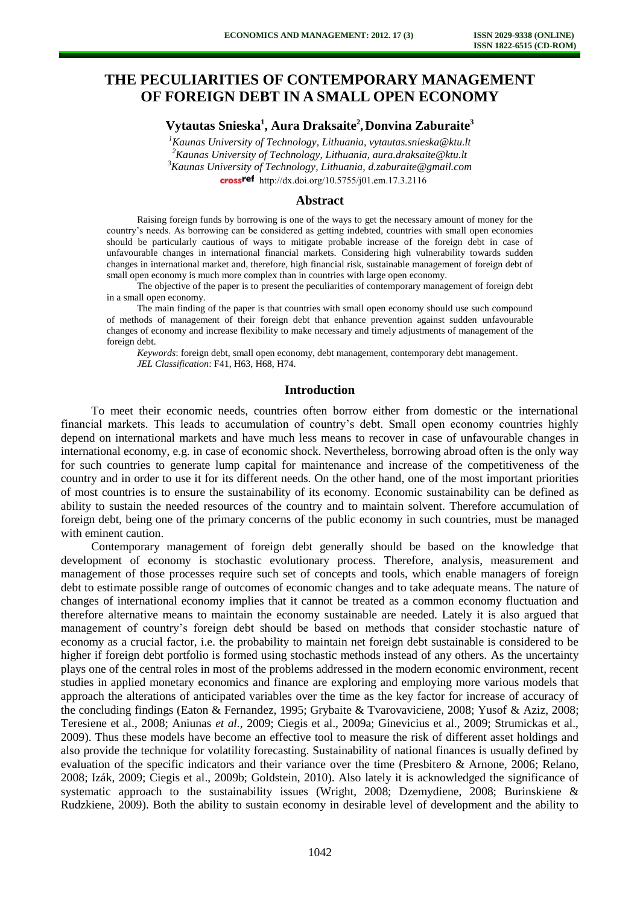# **THE PECULIARITIES OF CONTEMPORARY MANAGEMENT OF FOREIGN DEBT IN A SMALL OPEN ECONOMY**

# **Vytautas Snieska<sup>1</sup> , Aura Draksaite<sup>2</sup> , Donvina Zaburaite<sup>3</sup>**

*Kaunas University of Technology, Lithuania, vytautas.snieska@ktu.lt Kaunas University of Technology, Lithuania, aura.draksaite@ktu.lt Kaunas University of Technology, Lithuania, d.zaburaite@gmail.com*  crossref [http://dx.doi.org/10.5755/j01.e](http://dx.doi.org/10.5755/j01.em.17.3.2116)m.17.3.2116

#### **Abstract**

Raising foreign funds by borrowing is one of the ways to get the necessary amount of money for the country's needs. As borrowing can be considered as getting indebted, countries with small open economies should be particularly cautious of ways to mitigate probable increase of the foreign debt in case of unfavourable changes in international financial markets. Considering high vulnerability towards sudden changes in international market and, therefore, high financial risk, sustainable management of foreign debt of small open economy is much more complex than in countries with large open economy.

The objective of the paper is to present the peculiarities of contemporary management of foreign debt in a small open economy.

The main finding of the paper is that countries with small open economy should use such compound of methods of management of their foreign debt that enhance prevention against sudden unfavourable changes of economy and increase flexibility to make necessary and timely adjustments of management of the foreign debt.

*Keywords*: foreign debt, small open economy, debt management, contemporary debt management. *JEL Classification*: F41, H63, H68, H74.

#### **Introduction**

To meet their economic needs, countries often borrow either from domestic or the international financial markets. This leads to accumulation of country's debt. Small open economy countries highly depend on international markets and have much less means to recover in case of unfavourable changes in international economy, e.g. in case of economic shock. Nevertheless, borrowing abroad often is the only way for such countries to generate lump capital for maintenance and increase of the competitiveness of the country and in order to use it for its different needs. On the other hand, one of the most important priorities of most countries is to ensure the sustainability of its economy. Economic sustainability can be defined as ability to sustain the needed resources of the country and to maintain solvent. Therefore accumulation of foreign debt, being one of the primary concerns of the public economy in such countries, must be managed with eminent caution.

Contemporary management of foreign debt generally should be based on the knowledge that development of economy is stochastic evolutionary process. Therefore, analysis, measurement and management of those processes require such set of concepts and tools, which enable managers of foreign debt to estimate possible range of outcomes of economic changes and to take adequate means. The nature of changes of international economy implies that it cannot be treated as a common economy fluctuation and therefore alternative means to maintain the economy sustainable are needed. Lately it is also argued that management of country's foreign debt should be based on methods that consider stochastic nature of economy as a crucial factor, i.e. the probability to maintain net foreign debt sustainable is considered to be higher if foreign debt portfolio is formed using stochastic methods instead of any others. As the uncertainty plays one of the central roles in most of the problems addressed in the modern economic environment, recent studies in applied monetary economics and finance are exploring and employing more various models that approach the alterations of anticipated variables over the time as the key factor for increase of accuracy of the concluding findings (Eaton & Fernandez, 1995; Grybaite & Tvarovaviciene, 2008; Yusof & Aziz, 2008; Teresiene et al., 2008; Aniunas *et al.*, 2009; Ciegis et al., 2009a; Ginevicius et al., 2009; Strumickas et al., 2009). Thus these models have become an effective tool to measure the risk of different asset holdings and also provide the technique for volatility forecasting. Sustainability of national finances is usually defined by evaluation of the specific indicators and their variance over the time (Presbitero & Arnone, 2006; Relano, 2008; Izák, 2009; Ciegis et al., 2009b; Goldstein, 2010). Also lately it is acknowledged the significance of systematic approach to the sustainability issues (Wright, 2008; Dzemydiene, 2008; Burinskiene & Rudzkiene, 2009). Both the ability to sustain economy in desirable level of development and the ability to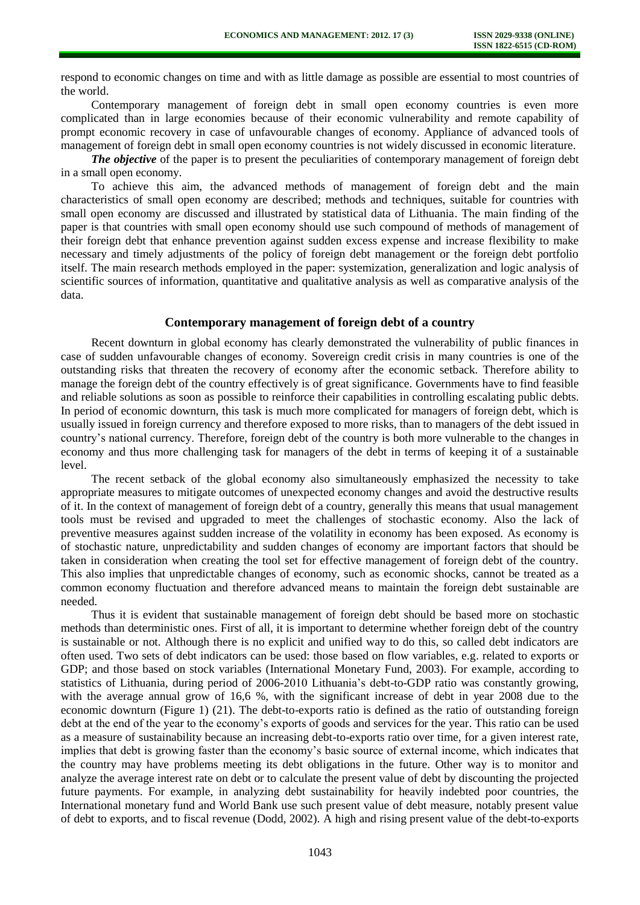respond to economic changes on time and with as little damage as possible are essential to most countries of the world.

Contemporary management of foreign debt in small open economy countries is even more complicated than in large economies because of their economic vulnerability and remote capability of prompt economic recovery in case of unfavourable changes of economy. Appliance of advanced tools of management of foreign debt in small open economy countries is not widely discussed in economic literature.

*The objective* of the paper is to present the peculiarities of contemporary management of foreign debt in a small open economy.

To achieve this aim, the advanced methods of management of foreign debt and the main characteristics of small open economy are described; methods and techniques, suitable for countries with small open economy are discussed and illustrated by statistical data of Lithuania. The main finding of the paper is that countries with small open economy should use such compound of methods of management of their foreign debt that enhance prevention against sudden excess expense and increase flexibility to make necessary and timely adjustments of the policy of foreign debt management or the foreign debt portfolio itself. The main research methods employed in the paper: systemization, generalization and logic analysis of scientific sources of information, quantitative and qualitative analysis as well as comparative analysis of the data.

### **Contemporary management of foreign debt of a country**

Recent downturn in global economy has clearly demonstrated the vulnerability of public finances in case of sudden unfavourable changes of economy. Sovereign credit crisis in many countries is one of the outstanding risks that threaten the recovery of economy after the economic setback. Therefore ability to manage the foreign debt of the country effectively is of great significance. Governments have to find feasible and reliable solutions as soon as possible to reinforce their capabilities in controlling escalating public debts. In period of economic downturn, this task is much more complicated for managers of foreign debt, which is usually issued in foreign currency and therefore exposed to more risks, than to managers of the debt issued in country's national currency. Therefore, foreign debt of the country is both more vulnerable to the changes in economy and thus more challenging task for managers of the debt in terms of keeping it of a sustainable level.

The recent setback of the global economy also simultaneously emphasized the necessity to take appropriate measures to mitigate outcomes of unexpected economy changes and avoid the destructive results of it. In the context of management of foreign debt of a country, generally this means that usual management tools must be revised and upgraded to meet the challenges of stochastic economy. Also the lack of preventive measures against sudden increase of the volatility in economy has been exposed. As economy is of stochastic nature, unpredictability and sudden changes of economy are important factors that should be taken in consideration when creating the tool set for effective management of foreign debt of the country. This also implies that unpredictable changes of economy, such as economic shocks, cannot be treated as a common economy fluctuation and therefore advanced means to maintain the foreign debt sustainable are needed.

Thus it is evident that sustainable management of foreign debt should be based more on stochastic methods than deterministic ones. First of all, it is important to determine whether foreign debt of the country is sustainable or not. Although there is no explicit and unified way to do this, so called debt indicators are often used. Two sets of debt indicators can be used: those based on flow variables, e.g. related to exports or GDP; and those based on stock variables (International Monetary Fund, 2003). For example, according to statistics of Lithuania, during period of 2006-2010 Lithuania's debt-to-GDP ratio was constantly growing, with the average annual grow of 16,6 %, with the significant increase of debt in year 2008 due to the economic downturn (Figure 1) (21). The debt-to-exports ratio is defined as the ratio of outstanding foreign debt at the end of the year to the economy's exports of goods and services for the year. This ratio can be used as a measure of sustainability because an increasing debt-to-exports ratio over time, for a given interest rate, implies that debt is growing faster than the economy's basic source of external income, which indicates that the country may have problems meeting its debt obligations in the future. Other way is to monitor and analyze the average interest rate on debt or to calculate the present value of debt by discounting the projected future payments. For example, in analyzing debt sustainability for heavily indebted poor countries, the International monetary fund and World Bank use such present value of debt measure, notably present value of debt to exports, and to fiscal revenue (Dodd, 2002). A high and rising present value of the debt-to-exports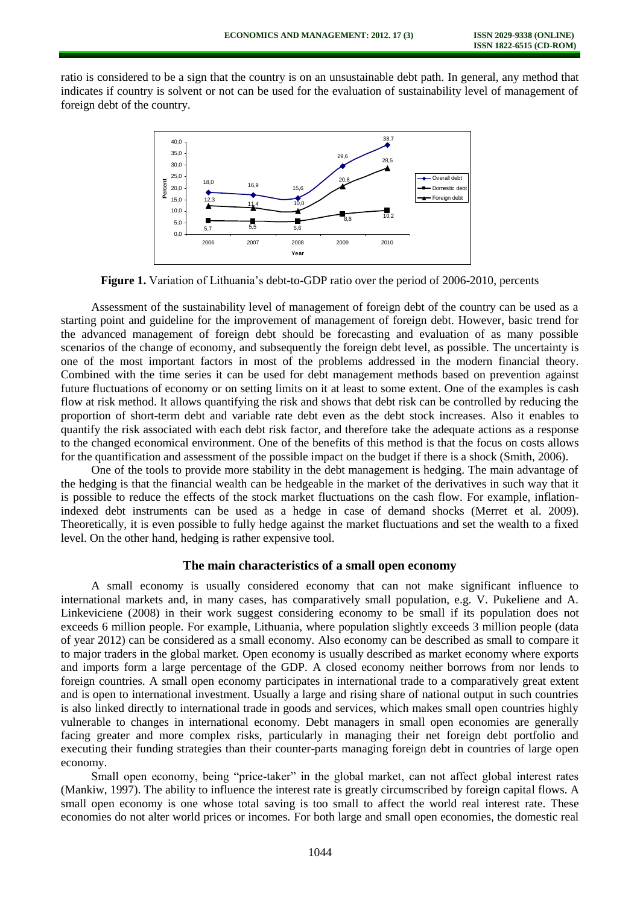ratio is considered to be a sign that the country is on an unsustainable debt path. In general, any method that indicates if country is solvent or not can be used for the evaluation of sustainability level of management of foreign debt of the country.



**Figure 1.** Variation of Lithuania's debt-to-GDP ratio over the period of 2006-2010, percents

Assessment of the sustainability level of management of foreign debt of the country can be used as a starting point and guideline for the improvement of management of foreign debt. However, basic trend for the advanced management of foreign debt should be forecasting and evaluation of as many possible scenarios of the change of economy, and subsequently the foreign debt level, as possible. The uncertainty is one of the most important factors in most of the problems addressed in the modern financial theory. Combined with the time series it can be used for debt management methods based on prevention against future fluctuations of economy or on setting limits on it at least to some extent. One of the examples is cash flow at risk method. It allows quantifying the risk and shows that debt risk can be controlled by reducing the proportion of short-term debt and variable rate debt even as the debt stock increases. Also it enables to quantify the risk associated with each debt risk factor, and therefore take the adequate actions as a response to the changed economical environment. One of the benefits of this method is that the focus on costs allows for the quantification and assessment of the possible impact on the budget if there is a shock (Smith, 2006).

One of the tools to provide more stability in the debt management is hedging. The main advantage of the hedging is that the financial wealth can be hedgeable in the market of the derivatives in such way that it is possible to reduce the effects of the stock market fluctuations on the cash flow. For example, inflationindexed debt instruments can be used as a hedge in case of demand shocks (Merret et al. 2009). Theoretically, it is even possible to fully hedge against the market fluctuations and set the wealth to a fixed level. On the other hand, hedging is rather expensive tool.

### **The main characteristics of a small open economy**

A small economy is usually considered economy that can not make significant influence to international markets and, in many cases, has comparatively small population, e.g. V. Pukeliene and A. Linkeviciene (2008) in their work suggest considering economy to be small if its population does not exceeds 6 million people. For example, Lithuania, where population slightly exceeds 3 million people (data of year 2012) can be considered as a small economy. Also economy can be described as small to compare it to major traders in the global market. Open economy is usually described as market economy where exports and imports form a large percentage of the GDP. A closed economy neither borrows from nor lends to foreign countries. A small open economy participates in international trade to a comparatively great extent and is open to international investment. Usually a large and rising share of national output in such countries is also linked directly to international trade in goods and services, which makes small open countries highly vulnerable to changes in international economy. Debt managers in small open economies are generally facing greater and more complex risks, particularly in managing their net foreign debt portfolio and executing their funding strategies than their counter-parts managing foreign debt in countries of large open economy.

Small open economy, being "price-taker" in the global market, can not affect global interest rates (Mankiw, 1997). The ability to influence the interest rate is greatly circumscribed by foreign capital flows. A small open economy is one whose total saving is too small to affect the world real interest rate. These economies do not alter world prices or incomes. For both large and small open economies, the domestic real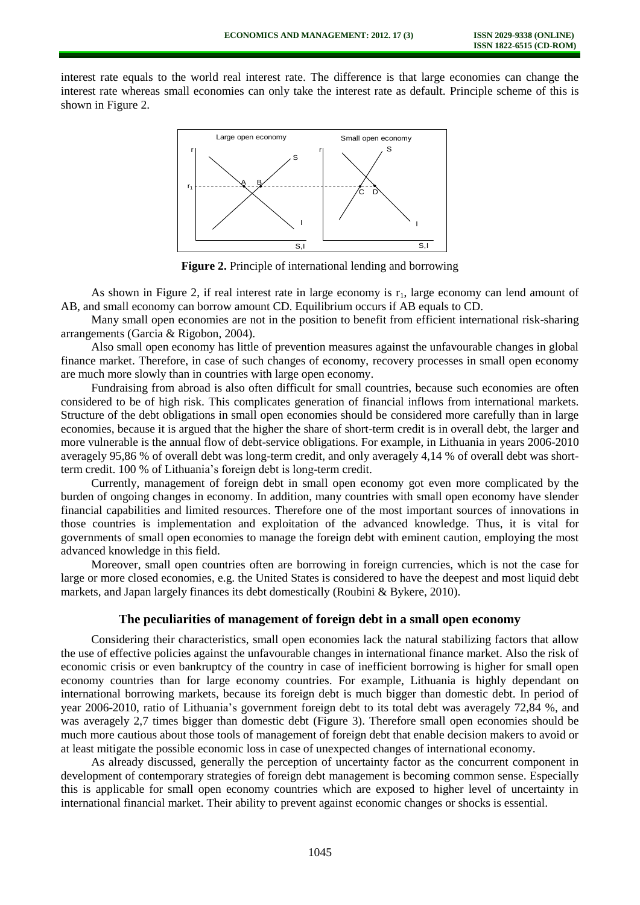interest rate equals to the world real interest rate. The difference is that large economies can change the interest rate whereas small economies can only take the interest rate as default. Principle scheme of this is shown in Figure 2.



**Figure 2.** Principle of international lending and borrowing

As shown in Figure 2, if real interest rate in large economy is  $r_1$ , large economy can lend amount of AB, and small economy can borrow amount CD. Equilibrium occurs if AB equals to CD.

Many small open economies are not in the position to benefit from efficient international risk-sharing arrangements (Garcia & Rigobon, 2004).

Also small open economy has little of prevention measures against the unfavourable changes in global finance market. Therefore, in case of such changes of economy, recovery processes in small open economy are much more slowly than in countries with large open economy.

Fundraising from abroad is also often difficult for small countries, because such economies are often considered to be of high risk. This complicates generation of financial inflows from international markets. Structure of the debt obligations in small open economies should be considered more carefully than in large economies, because it is argued that the higher the share of short-term credit is in overall debt, the larger and more vulnerable is the annual flow of debt-service obligations. For example, in Lithuania in years 2006-2010 averagely 95,86 % of overall debt was long-term credit, and only averagely 4,14 % of overall debt was shortterm credit. 100 % of Lithuania's foreign debt is long-term credit.

Currently, management of foreign debt in small open economy got even more complicated by the burden of ongoing changes in economy. In addition, many countries with small open economy have slender financial capabilities and limited resources. Therefore one of the most important sources of innovations in those countries is implementation and exploitation of the advanced knowledge. Thus, it is vital for governments of small open economies to manage the foreign debt with eminent caution, employing the most advanced knowledge in this field.

Moreover, small open countries often are borrowing in foreign currencies, which is not the case for large or more closed economies, e.g. the United States is considered to have the deepest and most liquid debt markets, and Japan largely finances its debt domestically (Roubini & Bykere, 2010).

## **The peculiarities of management of foreign debt in a small open economy**

Considering their characteristics, small open economies lack the natural stabilizing factors that allow the use of effective policies against the unfavourable changes in international finance market. Also the risk of economic crisis or even bankruptcy of the country in case of inefficient borrowing is higher for small open economy countries than for large economy countries. For example, Lithuania is highly dependant on international borrowing markets, because its foreign debt is much bigger than domestic debt. In period of year 2006-2010, ratio of Lithuania's government foreign debt to its total debt was averagely 72,84 %, and was averagely 2,7 times bigger than domestic debt (Figure 3). Therefore small open economies should be much more cautious about those tools of management of foreign debt that enable decision makers to avoid or at least mitigate the possible economic loss in case of unexpected changes of international economy.

As already discussed, generally the perception of uncertainty factor as the concurrent component in development of contemporary strategies of foreign debt management is becoming common sense. Especially this is applicable for small open economy countries which are exposed to higher level of uncertainty in international financial market. Their ability to prevent against economic changes or shocks is essential.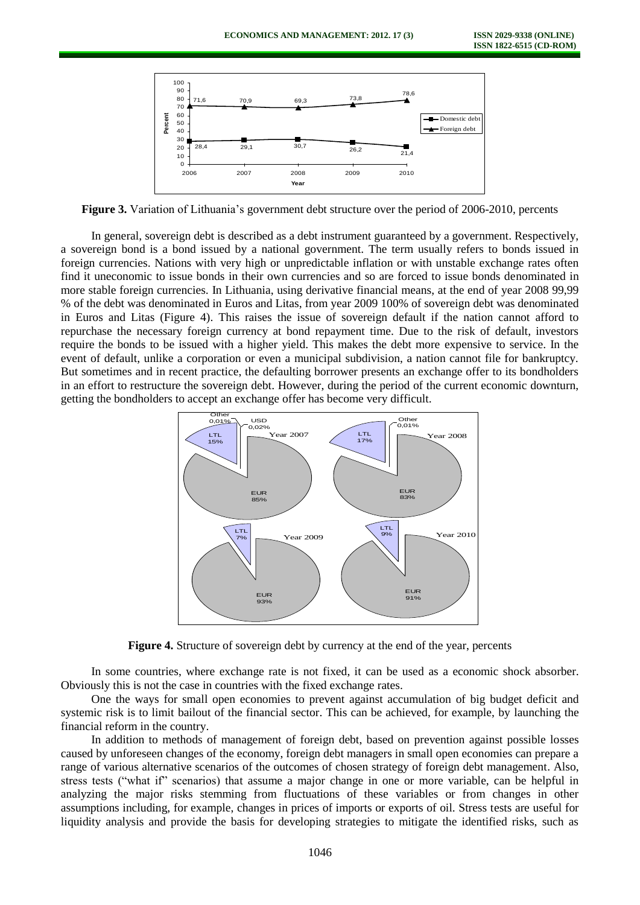

**Figure 3.** Variation of Lithuania's government debt structure over the period of 2006-2010, percents

In general, sovereign debt is described as a debt instrument guaranteed by a government. Respectively, a sovereign bond is a bond issued by a national government. The term usually refers to bonds issued in foreign currencies. Nations with very high or unpredictable inflation or with unstable exchange rates often find it uneconomic to issue bonds in their own currencies and so are forced to issue bonds denominated in more stable foreign currencies. In Lithuania, using derivative financial means, at the end of year 2008 99,99 % of the debt was denominated in Euros and Litas, from year 2009 100% of sovereign debt was denominated in Euros and Litas (Figure 4). This raises the issue of sovereign default if the nation cannot afford to repurchase the necessary foreign currency at bond repayment time. Due to the risk of default, investors require the bonds to be issued with a higher yield. This makes the debt more expensive to service. In the event of default, unlike a corporation or even a municipal subdivision, a nation cannot file for bankruptcy. But sometimes and in recent practice, the defaulting borrower presents an exchange offer to its bondholders in an effort to restructure the sovereign debt. However, during the period of the current economic downturn, getting the bondholders to accept an exchange offer has become very difficult.



**Figure 4.** Structure of sovereign debt by currency at the end of the year, percents

In some countries, where exchange rate is not fixed, it can be used as a economic shock absorber. Obviously this is not the case in countries with the fixed exchange rates.

One the ways for small open economies to prevent against accumulation of big budget deficit and systemic risk is to limit bailout of the financial sector. This can be achieved, for example, by launching the financial reform in the country.

In addition to methods of management of foreign debt, based on prevention against possible losses caused by unforeseen changes of the economy, foreign debt managers in small open economies can prepare a range of various alternative scenarios of the outcomes of chosen strategy of foreign debt management. Also, stress tests ("what if" scenarios) that assume a major change in one or more variable, can be helpful in analyzing the major risks stemming from fluctuations of these variables or from changes in other assumptions including, for example, changes in prices of imports or exports of oil. Stress tests are useful for liquidity analysis and provide the basis for developing strategies to mitigate the identified risks, such as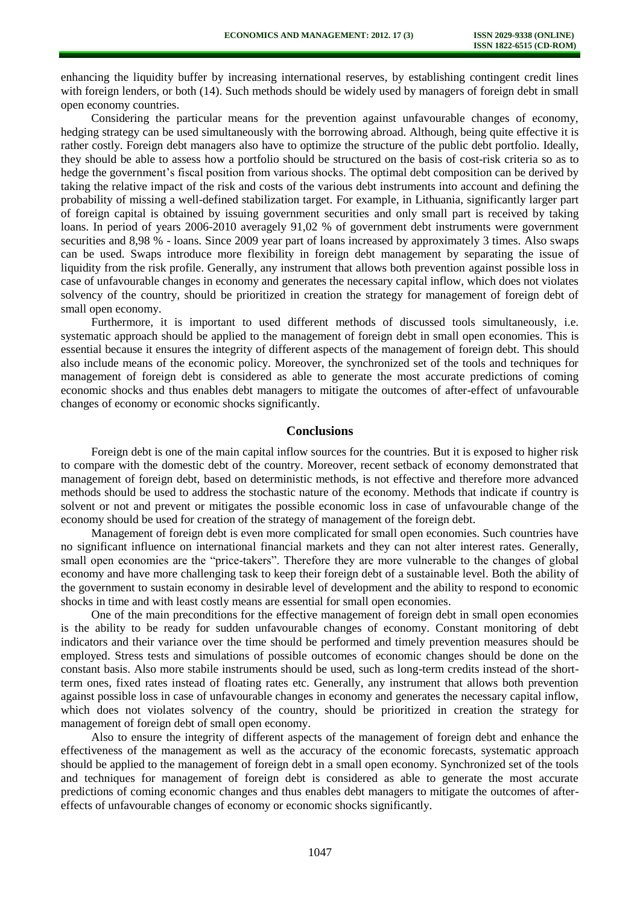enhancing the liquidity buffer by increasing international reserves, by establishing contingent credit lines with foreign lenders, or both (14). Such methods should be widely used by managers of foreign debt in small open economy countries.

Considering the particular means for the prevention against unfavourable changes of economy, hedging strategy can be used simultaneously with the borrowing abroad. Although, being quite effective it is rather costly. Foreign debt managers also have to optimize the structure of the public debt portfolio. Ideally, they should be able to assess how a portfolio should be structured on the basis of cost-risk criteria so as to hedge the government's fiscal position from various shocks. The optimal debt composition can be derived by taking the relative impact of the risk and costs of the various debt instruments into account and defining the probability of missing a well-defined stabilization target. For example, in Lithuania, significantly larger part of foreign capital is obtained by issuing government securities and only small part is received by taking loans. In period of years 2006-2010 averagely 91,02 % of government debt instruments were government securities and 8,98 % - loans. Since 2009 year part of loans increased by approximately 3 times. Also swaps can be used. Swaps introduce more flexibility in foreign debt management by separating the issue of liquidity from the risk profile. Generally, any instrument that allows both prevention against possible loss in case of unfavourable changes in economy and generates the necessary capital inflow, which does not violates solvency of the country, should be prioritized in creation the strategy for management of foreign debt of small open economy.

Furthermore, it is important to used different methods of discussed tools simultaneously, i.e. systematic approach should be applied to the management of foreign debt in small open economies. This is essential because it ensures the integrity of different aspects of the management of foreign debt. This should also include means of the economic policy. Moreover, the synchronized set of the tools and techniques for management of foreign debt is considered as able to generate the most accurate predictions of coming economic shocks and thus enables debt managers to mitigate the outcomes of after-effect of unfavourable changes of economy or economic shocks significantly.

#### **Conclusions**

Foreign debt is one of the main capital inflow sources for the countries. But it is exposed to higher risk to compare with the domestic debt of the country. Moreover, recent setback of economy demonstrated that management of foreign debt, based on deterministic methods, is not effective and therefore more advanced methods should be used to address the stochastic nature of the economy. Methods that indicate if country is solvent or not and prevent or mitigates the possible economic loss in case of unfavourable change of the economy should be used for creation of the strategy of management of the foreign debt.

Management of foreign debt is even more complicated for small open economies. Such countries have no significant influence on international financial markets and they can not alter interest rates. Generally, small open economies are the "price-takers". Therefore they are more vulnerable to the changes of global economy and have more challenging task to keep their foreign debt of a sustainable level. Both the ability of the government to sustain economy in desirable level of development and the ability to respond to economic shocks in time and with least costly means are essential for small open economies.

One of the main preconditions for the effective management of foreign debt in small open economies is the ability to be ready for sudden unfavourable changes of economy. Constant monitoring of debt indicators and their variance over the time should be performed and timely prevention measures should be employed. Stress tests and simulations of possible outcomes of economic changes should be done on the constant basis. Also more stabile instruments should be used, such as long-term credits instead of the shortterm ones, fixed rates instead of floating rates etc. Generally, any instrument that allows both prevention against possible loss in case of unfavourable changes in economy and generates the necessary capital inflow, which does not violates solvency of the country, should be prioritized in creation the strategy for management of foreign debt of small open economy.

Also to ensure the integrity of different aspects of the management of foreign debt and enhance the effectiveness of the management as well as the accuracy of the economic forecasts, systematic approach should be applied to the management of foreign debt in a small open economy. Synchronized set of the tools and techniques for management of foreign debt is considered as able to generate the most accurate predictions of coming economic changes and thus enables debt managers to mitigate the outcomes of aftereffects of unfavourable changes of economy or economic shocks significantly.